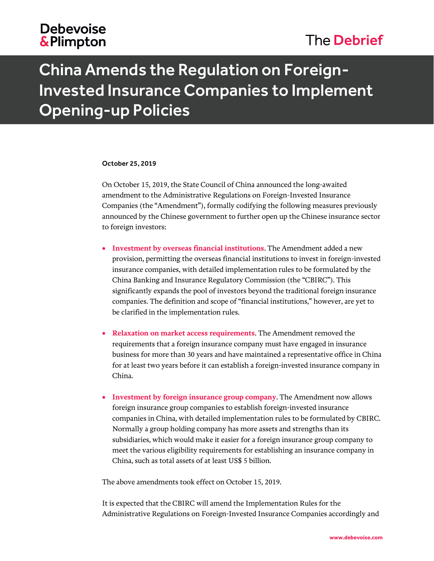## **Debevoise** & Plimpton

## The Debrief

# China Amends the Regulation on Foreign-Invested Insurance Companies to Implement Opening-up Policies

#### October 25, 2019

On October 15, 2019, the State Council of China announced the long-awaited amendment to the Administrative Regulations on Foreign-Invested Insurance Companies (the "Amendment"), formally codifying the following measures previously announced by the Chinese government to further open up the Chinese insurance sector to foreign investors:

- **Investment by overseas financial institutions**. The Amendment added a new provision, permitting the overseas financial institutions to invest in foreign-invested insurance companies, with detailed implementation rules to be formulated by the China Banking and Insurance Regulatory Commission (the "CBIRC"). This significantly expands the pool of investors beyond the traditional foreign insurance companies. The definition and scope of "financial institutions," however, are yet to be clarified in the implementation rules.
- **Relaxation on market access requirements**. The Amendment removed the requirements that a foreign insurance company must have engaged in insurance business for more than 30 years and have maintained a representative office in China for at least two years before it can establish a foreign-invested insurance company in China.
- **Investment by foreign insurance group company**. The Amendment now allows foreign insurance group companies to establish foreign-invested insurance companies in China, with detailed implementation rules to be formulated by CBIRC. Normally a group holding company has more assets and strengths than its subsidiaries, which would make it easier for a foreign insurance group company to meet the various eligibility requirements for establishing an insurance company in China, such as total assets of at least US\$ 5 billion.

The above amendments took effect on October 15, 2019.

It is expected that the CBIRC will amend the Implementation Rules for the Administrative Regulations on Foreign-Invested Insurance Companies accordingly and